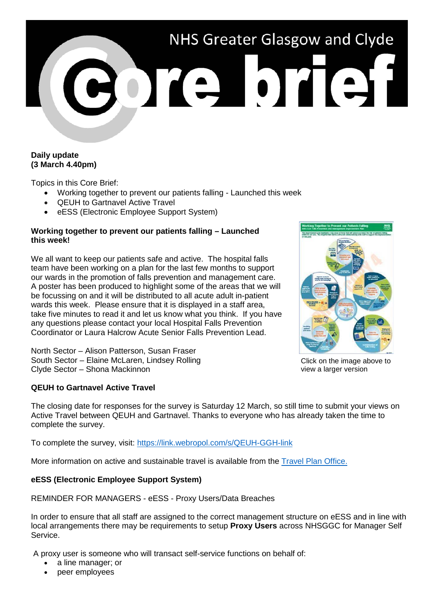

## **Daily update (3 March 4.40pm)**

Topics in this Core Brief:

- Working together to prevent our patients falling Launched this week
- QEUH to Gartnavel Active Travel
- eESS (Electronic Employee Support System)

## **Working together to prevent our patients falling – Launched this week!**

We all want to keep our patients safe and active. The hospital falls team have been working on a plan for the last few months to support our wards in the promotion of falls prevention and management care. A poster has been produced to highlight some of the areas that we will be focussing on and it will be distributed to all acute adult in-patient wards this week. Please ensure that it is displayed in a staff area, take five minutes to read it and let us know what you think. If you have any questions please contact your local Hospital Falls Prevention Coordinator or Laura Halcrow Acute Senior Falls Prevention Lead.



North Sector – Alison Patterson, Susan Fraser South Sector – Elaine McLaren, Lindsey Rolling Clyde Sector – Shona Mackinnon

#### Click on the image above to view a larger version

# **QEUH to Gartnavel Active Travel**

The closing date for responses for the survey is Saturday 12 March, so still time to submit your views on Active Travel between QEUH and Gartnavel. Thanks to everyone who has already taken the time to complete the survey.

To complete the survey, visit:<https://link.webropol.com/s/QEUH-GGH-link>

More information on active and sustainable travel is available from the [Travel Plan Office.](https://www.nhsggc.org.uk/working-with-us/staff-communications/staff-benefits-services-travel/travel/)

### **eESS (Electronic Employee Support System)**

REMINDER FOR MANAGERS - eESS - Proxy Users/Data Breaches

In order to ensure that all staff are assigned to the correct management structure on eESS and in line with local arrangements there may be requirements to setup **Proxy Users** across NHSGGC for Manager Self Service.

A proxy user is someone who will transact self-service functions on behalf of:

- a line manager; or
- peer employees